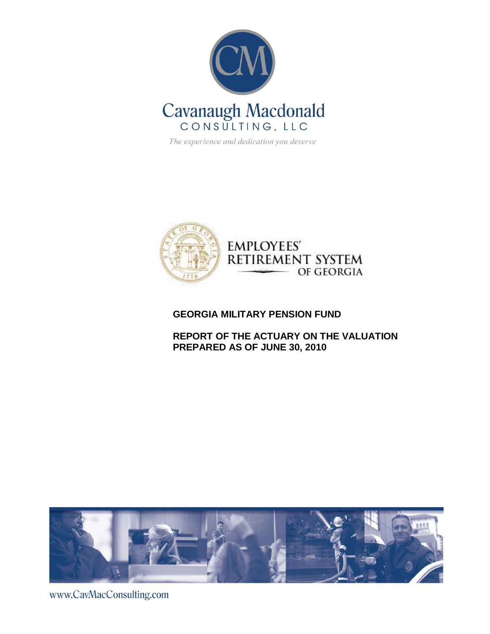

The experience and dedication you deserve



## **GEORGIA MILITARY PENSION FUND**

# **REPORT OF THE ACTUARY ON THE VALUATION PREPARED AS OF JUNE 30, 2010**



www.CavMacConsulting.com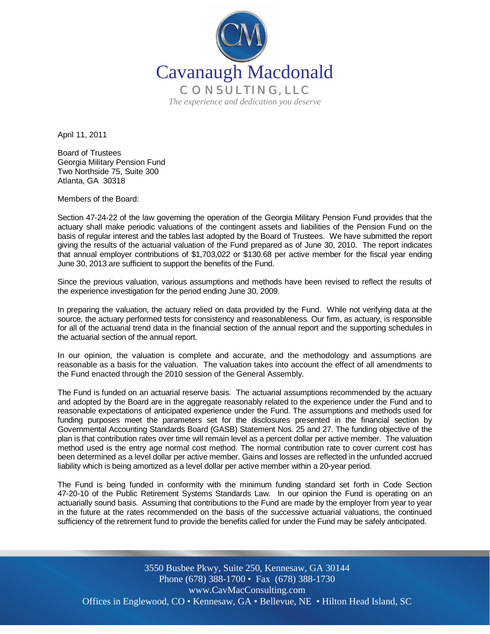

April 11, 2011

Board of Trustees Georgia Military Pension Fund Two Northside 75, Suite 300 Atlanta, GA 30318

Members of the Board:

Section 47-24-22 of the law governing the operation of the Georgia Military Pension Fund provides that the actuary shall make periodic valuations of the contingent assets and liabilities of the Pension Fund on the basis of regular interest and the tables last adopted by the Board of Trustees. We have submitted the report giving the results of the actuarial valuation of the Fund prepared as of June 30, 2010. The report indicates that annual employer contributions of \$1,703,022 or \$130.68 per active member for the fiscal year ending June 30, 2013 are sufficient to support the benefits of the Fund.

Since the previous valuation, various assumptions and methods have been revised to reflect the results of the experience investigation for the period ending June 30, 2009.

In preparing the valuation, the actuary relied on data provided by the Fund. While not verifying data at the source, the actuary performed tests for consistency and reasonableness. Our firm, as actuary, is responsible for all of the actuarial trend data in the financial section of the annual report and the supporting schedules in the actuarial section of the annual report.

In our opinion, the valuation is complete and accurate, and the methodology and assumptions are reasonable as a basis for the valuation. The valuation takes into account the effect of all amendments to the Fund enacted through the 2010 session of the General Assembly.

The Fund is funded on an actuarial reserve basis. The actuarial assumptions recommended by the actuary and adopted by the Board are in the aggregate reasonably related to the experience under the Fund and to reasonable expectations of anticipated experience under the Fund. The assumptions and methods used for funding purposes meet the parameters set for the disclosures presented in the financial section by Governmental Accounting Standards Board (GASB) Statement Nos. 25 and 27. The funding objective of the plan is that contribution rates over time will remain level as a percent dollar per active member. The valuation method used is the entry age normal cost method. The normal contribution rate to cover current cost has been determined as a level dollar per active member. Gains and losses are reflected in the unfunded accrued liability which is being amortized as a level dollar per active member within a 20-year period.

The Fund is being funded in conformity with the minimum funding standard set forth in Code Section 47-20-10 of the Public Retirement Systems Standards Law. In our opinion the Fund is operating on an actuarially sound basis. Assuming that contributions to the Fund are made by the employer from year to year in the future at the rates recommended on the basis of the successive actuarial valuations, the continued sufficiency of the retirement fund to provide the benefits called for under the Fund may be safely anticipated.

Offices in Englewood, CO • Kennesaw, GA • Bellevue, NE • Hilton Head Island, SC 3550 Busbee Pkwy, Suite 250, Kennesaw, GA 30144 Phone (678) 388-1700 • Fax (678) 388-1730 www.CavMacConsulting.com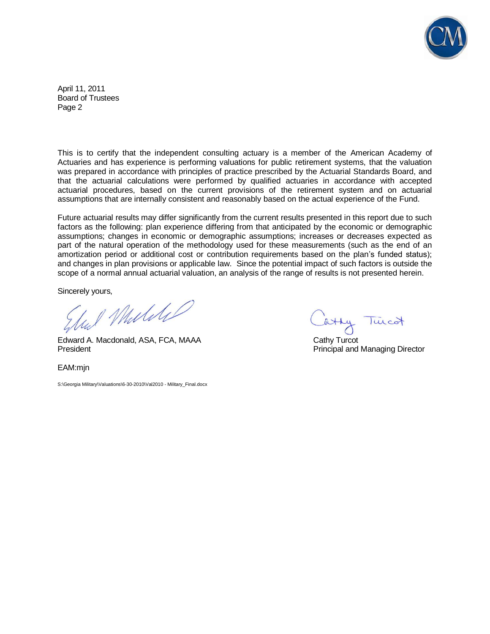

April 11, 2011 Board of Trustees Page 2

This is to certify that the independent consulting actuary is a member of the American Academy of Actuaries and has experience is performing valuations for public retirement systems, that the valuation was prepared in accordance with principles of practice prescribed by the Actuarial Standards Board, and that the actuarial calculations were performed by qualified actuaries in accordance with accepted actuarial procedures, based on the current provisions of the retirement system and on actuarial assumptions that are internally consistent and reasonably based on the actual experience of the Fund.

Future actuarial results may differ significantly from the current results presented in this report due to such factors as the following: plan experience differing from that anticipated by the economic or demographic assumptions; changes in economic or demographic assumptions; increases or decreases expected as part of the natural operation of the methodology used for these measurements (such as the end of an amortization period or additional cost or contribution requirements based on the plan's funded status); and changes in plan provisions or applicable law. Since the potential impact of such factors is outside the scope of a normal annual actuarial valuation, an analysis of the range of results is not presented herein.

Sincerely yours,

1 Murril

Edward A. Macdonald, ASA, FCA, MAAA Cathy Turcot President **President** Principal and Managing Director

EAM:min

S:\Georgia Military\Valuations\6-30-2010\Val2010 - Military\_Final.docx

atty Turcot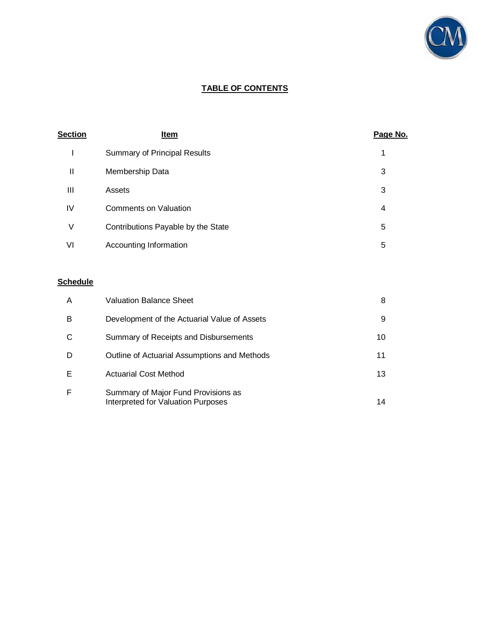

# **TABLE OF CONTENTS**

| <b>Section</b> | <u>Item</u>                         | Page No. |
|----------------|-------------------------------------|----------|
|                | <b>Summary of Principal Results</b> | 1        |
| $\mathbf{I}$   | Membership Data                     | 3        |
| Ш              | Assets                              | 3        |
| IV             | <b>Comments on Valuation</b>        | 4        |
| ٧              | Contributions Payable by the State  | 5        |
| VI             | Accounting Information              | 5        |

## **Schedule**

| A | Valuation Balance Sheet                                                          | 8  |
|---|----------------------------------------------------------------------------------|----|
| В | Development of the Actuarial Value of Assets                                     | 9  |
| С | Summary of Receipts and Disbursements                                            | 10 |
| D | Outline of Actuarial Assumptions and Methods                                     | 11 |
| Е | <b>Actuarial Cost Method</b>                                                     | 13 |
| F | Summary of Major Fund Provisions as<br><b>Interpreted for Valuation Purposes</b> | 14 |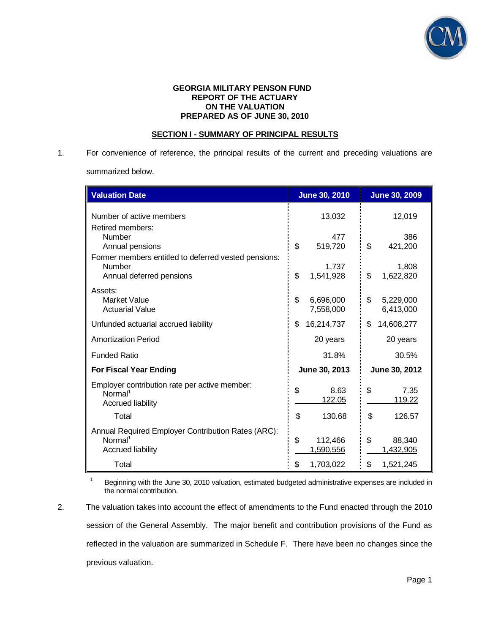

#### **GEORGIA MILITARY PENSON FUND REPORT OF THE ACTUARY ON THE VALUATION PREPARED AS OF JUNE 30, 2010**

### **SECTION I - SUMMARY OF PRINCIPAL RESULTS**

1. For convenience of reference, the principal results of the current and preceding valuations are summarized below.

| <b>Valuation Date</b>                                                                                 | <b>June 30, 2010</b>         | <b>June 30, 2009</b>         |  |
|-------------------------------------------------------------------------------------------------------|------------------------------|------------------------------|--|
| Number of active members<br>Retired members:                                                          | 13,032                       | 12,019                       |  |
| Number<br>Annual pensions                                                                             | 477<br>\$<br>519,720         | 386<br>\$<br>421,200         |  |
| Former members entitled to deferred vested pensions:<br><b>Number</b><br>Annual deferred pensions     | 1,737<br>\$<br>1,541,928     | 1,808<br>\$<br>1,622,820     |  |
| Assets:<br>Market Value<br><b>Actuarial Value</b>                                                     | \$<br>6,696,000<br>7,558,000 | \$<br>5,229,000<br>6,413,000 |  |
| Unfunded actuarial accrued liability                                                                  | \$<br>16,214,737             | 14,608,277<br>\$             |  |
| <b>Amortization Period</b>                                                                            | 20 years                     | 20 years                     |  |
| <b>Funded Ratio</b>                                                                                   | 31.8%                        | 30.5%                        |  |
| <b>For Fiscal Year Ending</b>                                                                         | June 30, 2013                | June 30, 2012                |  |
| Employer contribution rate per active member:<br>Normal <sup>1</sup><br><b>Accrued liability</b>      | \$<br>8.63<br>122.05         | \$<br>7.35<br>119.22         |  |
| Total                                                                                                 | \$<br>130.68                 | \$<br>126.57                 |  |
| Annual Required Employer Contribution Rates (ARC):<br>Normal <sup>1</sup><br><b>Accrued liability</b> | \$<br>112,466<br>1,590,556   | \$<br>88,340<br>1,432,905    |  |
| Total                                                                                                 | \$<br>1,703,022              | \$<br>1,521,245              |  |

<sup>1</sup> Beginning with the June 30, 2010 valuation, estimated budgeted administrative expenses are included in the normal contribution.

2. The valuation takes into account the effect of amendments to the Fund enacted through the 2010 session of the General Assembly. The major benefit and contribution provisions of the Fund as reflected in the valuation are summarized in Schedule F. There have been no changes since the previous valuation.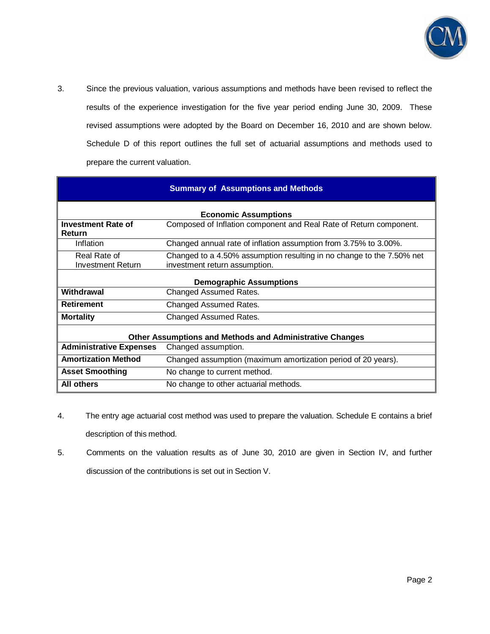

3. Since the previous valuation, various assumptions and methods have been revised to reflect the results of the experience investigation for the five year period ending June 30, 2009. These revised assumptions were adopted by the Board on December 16, 2010 and are shown below. Schedule D of this report outlines the full set of actuarial assumptions and methods used to prepare the current valuation.

| <b>Summary of Assumptions and Methods</b>                                                   |                                                                                                        |  |  |  |
|---------------------------------------------------------------------------------------------|--------------------------------------------------------------------------------------------------------|--|--|--|
|                                                                                             | <b>Economic Assumptions</b>                                                                            |  |  |  |
| <b>Investment Rate of</b><br>Return                                                         | Composed of Inflation component and Real Rate of Return component.                                     |  |  |  |
| Inflation                                                                                   | Changed annual rate of inflation assumption from 3.75% to 3.00%.                                       |  |  |  |
| Real Rate of<br><b>Investment Return</b>                                                    | Changed to a 4.50% assumption resulting in no change to the 7.50% net<br>investment return assumption. |  |  |  |
|                                                                                             | <b>Demographic Assumptions</b>                                                                         |  |  |  |
| Withdrawal                                                                                  | Changed Assumed Rates.                                                                                 |  |  |  |
| Retirement                                                                                  | Changed Assumed Rates.                                                                                 |  |  |  |
| <b>Mortality</b>                                                                            | Changed Assumed Rates.                                                                                 |  |  |  |
|                                                                                             | <b>Other Assumptions and Methods and Administrative Changes</b>                                        |  |  |  |
| <b>Administrative Expenses</b>                                                              | Changed assumption.                                                                                    |  |  |  |
| <b>Amortization Method</b><br>Changed assumption (maximum amortization period of 20 years). |                                                                                                        |  |  |  |
| <b>Asset Smoothing</b>                                                                      | No change to current method.                                                                           |  |  |  |
| <b>All others</b>                                                                           | No change to other actuarial methods.                                                                  |  |  |  |

- 4. The entry age actuarial cost method was used to prepare the valuation. Schedule E contains a brief description of this method.
- 5. Comments on the valuation results as of June 30, 2010 are given in Section IV, and further discussion of the contributions is set out in Section V.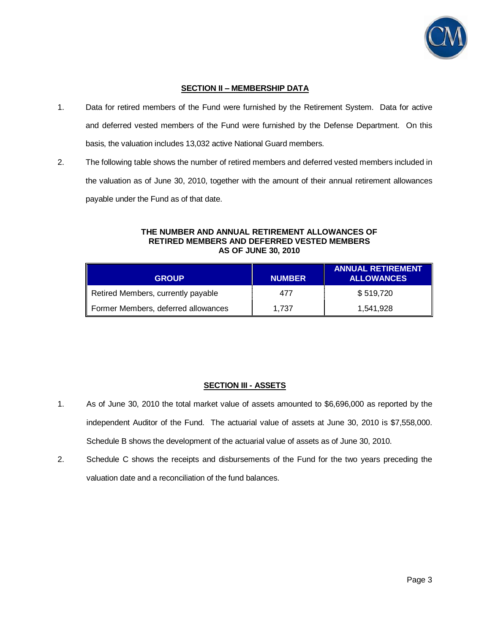

### **SECTION II – MEMBERSHIP DATA**

- 1. Data for retired members of the Fund were furnished by the Retirement System. Data for active and deferred vested members of the Fund were furnished by the Defense Department. On this basis, the valuation includes 13,032 active National Guard members.
- 2. The following table shows the number of retired members and deferred vested members included in the valuation as of June 30, 2010, together with the amount of their annual retirement allowances payable under the Fund as of that date.

#### **THE NUMBER AND ANNUAL RETIREMENT ALLOWANCES OF RETIRED MEMBERS AND DEFERRED VESTED MEMBERS AS OF JUNE 30, 2010**

| <b>GROUP</b>                        | <b>NUMBER</b> | <b>ANNUAL RETIREMENT</b><br><b>ALLOWANCES</b> |
|-------------------------------------|---------------|-----------------------------------------------|
| Retired Members, currently payable  | 477           | \$519,720                                     |
| Former Members, deferred allowances | 1.737         | 1.541.928                                     |

## **SECTION III - ASSETS**

- 1. As of June 30, 2010 the total market value of assets amounted to \$6,696,000 as reported by the independent Auditor of the Fund. The actuarial value of assets at June 30, 2010 is \$7,558,000. Schedule B shows the development of the actuarial value of assets as of June 30, 2010.
- 2. Schedule C shows the receipts and disbursements of the Fund for the two years preceding the valuation date and a reconciliation of the fund balances.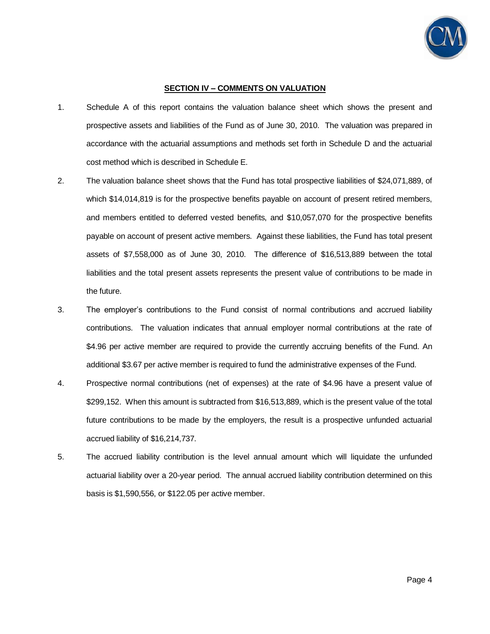

#### **SECTION IV – COMMENTS ON VALUATION**

- 1. Schedule A of this report contains the valuation balance sheet which shows the present and prospective assets and liabilities of the Fund as of June 30, 2010. The valuation was prepared in accordance with the actuarial assumptions and methods set forth in Schedule D and the actuarial cost method which is described in Schedule E.
- 2. The valuation balance sheet shows that the Fund has total prospective liabilities of \$24,071,889, of which \$14,014,819 is for the prospective benefits payable on account of present retired members, and members entitled to deferred vested benefits, and \$10,057,070 for the prospective benefits payable on account of present active members. Against these liabilities, the Fund has total present assets of \$7,558,000 as of June 30, 2010. The difference of \$16,513,889 between the total liabilities and the total present assets represents the present value of contributions to be made in the future.
- 3. The employer's contributions to the Fund consist of normal contributions and accrued liability contributions. The valuation indicates that annual employer normal contributions at the rate of \$4.96 per active member are required to provide the currently accruing benefits of the Fund. An additional \$3.67 per active member is required to fund the administrative expenses of the Fund.
- 4. Prospective normal contributions (net of expenses) at the rate of \$4.96 have a present value of \$299,152. When this amount is subtracted from \$16,513,889, which is the present value of the total future contributions to be made by the employers, the result is a prospective unfunded actuarial accrued liability of \$16,214,737.
- 5. The accrued liability contribution is the level annual amount which will liquidate the unfunded actuarial liability over a 20-year period. The annual accrued liability contribution determined on this basis is \$1,590,556, or \$122.05 per active member.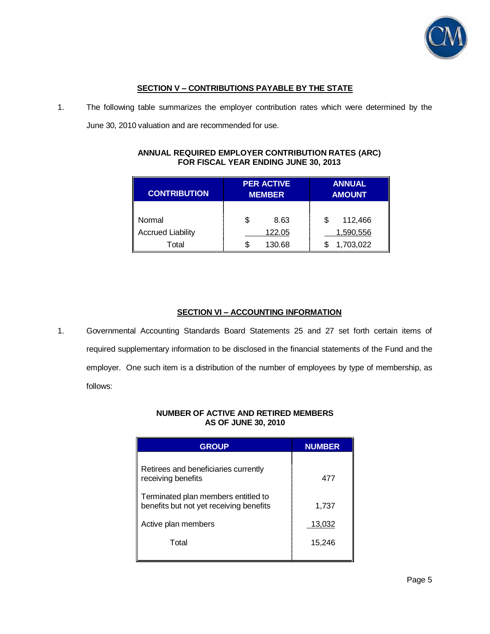

## **SECTION V – CONTRIBUTIONS PAYABLE BY THE STATE**

1. The following table summarizes the employer contribution rates which were determined by the June 30, 2010 valuation and are recommended for use.

| <b>CONTRIBUTION</b>      | <b>PER ACTIVE</b><br><b>MEMBER</b> |        | <b>ANNUAL</b><br><b>AMOUNT</b> |           |
|--------------------------|------------------------------------|--------|--------------------------------|-----------|
| Normal                   |                                    | 8.63   | \$                             | 112,466   |
| <b>Accrued Liability</b> |                                    | 122.05 |                                | 1,590,556 |
| Total                    |                                    | 130.68 |                                | 1,703,022 |

### **ANNUAL REQUIRED EMPLOYER CONTRIBUTION RATES (ARC) FOR FISCAL YEAR ENDING JUNE 30, 2013**

### **SECTION VI – ACCOUNTING INFORMATION**

1. Governmental Accounting Standards Board Statements 25 and 27 set forth certain items of required supplementary information to be disclosed in the financial statements of the Fund and the employer. One such item is a distribution of the number of employees by type of membership, as follows:

### **NUMBER OF ACTIVE AND RETIRED MEMBERS AS OF JUNE 30, 2010**

| <b>GROUP</b>                                                                   | <b>NUMBER</b> |
|--------------------------------------------------------------------------------|---------------|
| Retirees and beneficiaries currently<br>receiving benefits                     | 477           |
| Terminated plan members entitled to<br>benefits but not yet receiving benefits | 1,737         |
| Active plan members                                                            | 13,032        |
| Total                                                                          | 15,246        |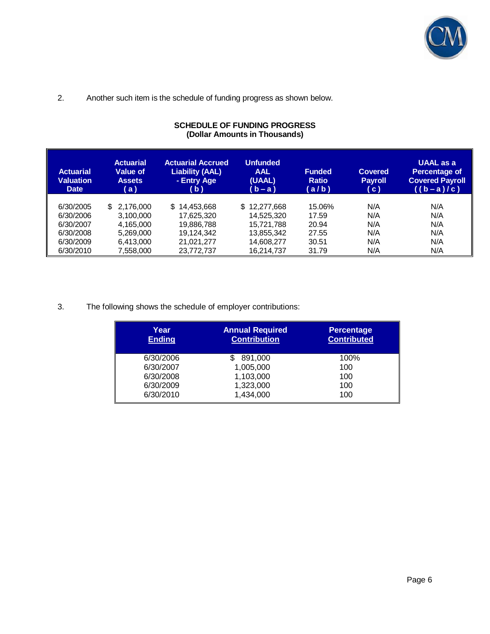

2. Another such item is the schedule of funding progress as shown below.

| <b>Actuarial</b><br><b>Valuation</b><br><b>Date</b> | <b>Actuarial</b><br>Value of<br><b>Assets</b><br>(a) | <b>Actuarial Accrued</b><br><b>Liability (AAL)</b><br>- Entry Age<br>( b ) | <b>Unfunded</b><br><b>AAL</b><br>(UAAL)<br>$\mathbf{b}-\mathbf{a}$ | <b>Funded</b><br><b>Ratio</b><br>(a/b) | <b>Covered</b><br><b>Payroll</b><br>$\mathsf{c}$ ) | <b>UAAL</b> as a<br>Percentage of<br><b>Covered Payroll</b><br>$((b-a)/c)$ |
|-----------------------------------------------------|------------------------------------------------------|----------------------------------------------------------------------------|--------------------------------------------------------------------|----------------------------------------|----------------------------------------------------|----------------------------------------------------------------------------|
|                                                     |                                                      |                                                                            |                                                                    |                                        |                                                    |                                                                            |
| 6/30/2005                                           | \$2.176,000                                          | \$14,453,668                                                               | \$12,277,668                                                       | 15.06%                                 | N/A                                                | N/A                                                                        |
| 6/30/2006                                           | 3.100.000                                            | 17.625.320                                                                 | 14.525.320                                                         | 17.59                                  | N/A                                                | N/A                                                                        |
| 6/30/2007                                           | 4,165,000                                            | 19,886,788                                                                 | 15,721,788                                                         | 20.94                                  | N/A                                                | N/A                                                                        |
| 6/30/2008                                           | 5,269,000                                            | 19,124,342                                                                 | 13,855,342                                                         | 27.55                                  | N/A                                                | N/A                                                                        |
| 6/30/2009                                           | 6,413,000                                            | 21,021,277                                                                 | 14,608,277                                                         | 30.51                                  | N/A                                                | N/A                                                                        |
| 6/30/2010                                           | 7.558.000                                            | 23.772.737                                                                 | 16.214.737                                                         | 31.79                                  | N/A                                                | N/A                                                                        |

### **SCHEDULE OF FUNDING PROGRESS (Dollar Amounts in Thousands)**

3. The following shows the schedule of employer contributions:

| Year<br><b>Ending</b> | <b>Annual Required</b><br><b>Contribution</b> | <b>Percentage</b><br><b>Contributed</b> |
|-----------------------|-----------------------------------------------|-----------------------------------------|
| 6/30/2006             | 891,000                                       | 100%                                    |
| 6/30/2007             | 1,005,000                                     | 100                                     |
| 6/30/2008             | 1,103,000                                     | 100                                     |
| 6/30/2009             | 1,323,000                                     | 100                                     |
| 6/30/2010             | 1,434,000                                     | 100                                     |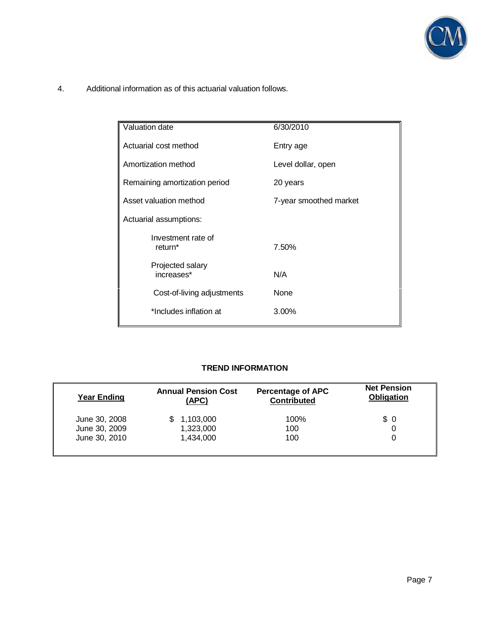

4. Additional information as of this actuarial valuation follows.

| Valuation date                            | 6/30/2010              |  |
|-------------------------------------------|------------------------|--|
| Actuarial cost method                     | Entry age              |  |
| Amortization method                       | Level dollar, open     |  |
| Remaining amortization period             | 20 years               |  |
| Asset valuation method                    | 7-year smoothed market |  |
| Actuarial assumptions:                    |                        |  |
| Investment rate of<br>return <sup>*</sup> | 7.50%                  |  |
| Projected salary<br>increases*            | N/A                    |  |
| Cost-of-living adjustments                | None                   |  |
| *Includes inflation at                    | 3.00%                  |  |

## **TREND INFORMATION**

| <b>Year Ending</b> | <b>Annual Pension Cost</b><br>(APC) | <b>Percentage of APC</b><br><b>Contributed</b> | <b>Net Pension</b><br><b>Obligation</b> |  |
|--------------------|-------------------------------------|------------------------------------------------|-----------------------------------------|--|
| June 30, 2008      | 1,103,000                           | 100%                                           | \$0                                     |  |
| June 30, 2009      | 1,323,000                           | 100                                            |                                         |  |
| June 30, 2010      | 1.434.000                           | 100                                            |                                         |  |
|                    |                                     |                                                |                                         |  |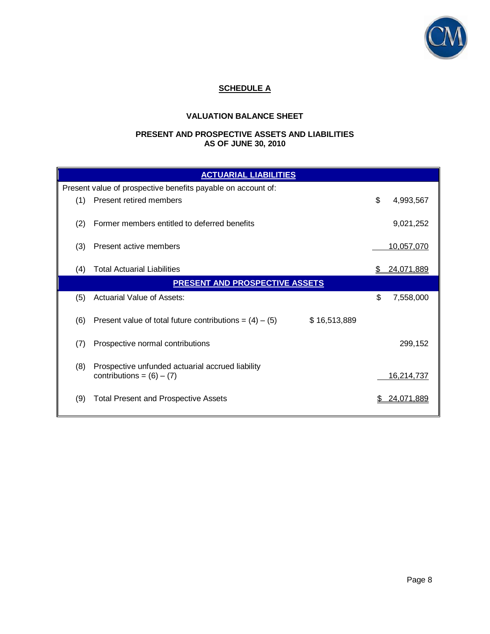

# **SCHEDULE A**

# **VALUATION BALANCE SHEET**

### **PRESENT AND PROSPECTIVE ASSETS AND LIABILITIES AS OF JUNE 30, 2010**

|     | <b>ACTUARIAL LIABILITIES</b>                                                    |    |            |  |  |  |
|-----|---------------------------------------------------------------------------------|----|------------|--|--|--|
|     | Present value of prospective benefits payable on account of:                    |    |            |  |  |  |
| (1) | Present retired members                                                         | \$ | 4,993,567  |  |  |  |
| (2) | Former members entitled to deferred benefits                                    |    | 9,021,252  |  |  |  |
| (3) | Present active members                                                          |    | 10,057,070 |  |  |  |
| (4) | <b>Total Actuarial Liabilities</b>                                              |    | 24,071,889 |  |  |  |
|     | <b>PRESENT AND PROSPECTIVE ASSETS</b>                                           |    |            |  |  |  |
| (5) | <b>Actuarial Value of Assets:</b>                                               | \$ | 7,558,000  |  |  |  |
| (6) | \$16,513,889<br>Present value of total future contributions = $(4) - (5)$       |    |            |  |  |  |
| (7) | Prospective normal contributions                                                |    | 299,152    |  |  |  |
| (8) | Prospective unfunded actuarial accrued liability<br>contributions = $(6) - (7)$ |    | 16,214,737 |  |  |  |
| (9) | <b>Total Present and Prospective Assets</b>                                     |    | 24.071.889 |  |  |  |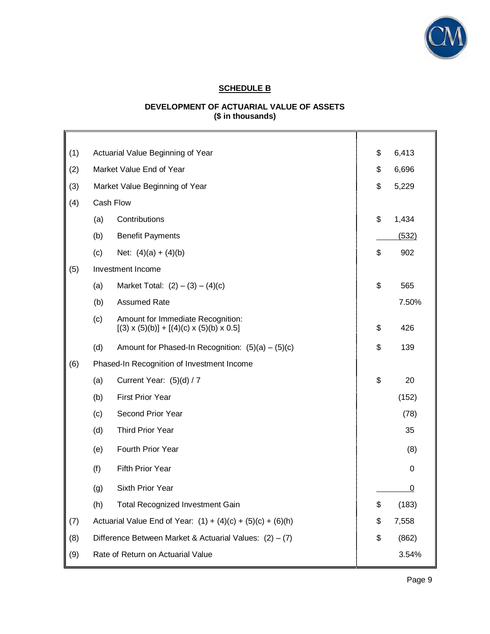

## **SCHEDULE B**

## **DEVELOPMENT OF ACTUARIAL VALUE OF ASSETS (\$ in thousands)**

 $\overline{a}$ 

| (1) | Actuarial Value Beginning of Year                             |                                                                                                | \$ | 6,413 |
|-----|---------------------------------------------------------------|------------------------------------------------------------------------------------------------|----|-------|
| (2) | Market Value End of Year                                      |                                                                                                | \$ | 6,696 |
| (3) | Market Value Beginning of Year                                |                                                                                                | \$ | 5,229 |
| (4) |                                                               | Cash Flow                                                                                      |    |       |
|     | (a)                                                           | Contributions                                                                                  | \$ | 1,434 |
|     | (b)                                                           | <b>Benefit Payments</b>                                                                        |    | (532) |
|     | (c)                                                           | Net: $(4)(a) + (4)(b)$                                                                         | \$ | 902   |
| (5) |                                                               | Investment Income                                                                              |    |       |
|     | (a)                                                           | Market Total: $(2) - (3) - (4)(c)$                                                             | \$ | 565   |
|     | (b)                                                           | <b>Assumed Rate</b>                                                                            |    | 7.50% |
|     | (c)                                                           | Amount for Immediate Recognition:<br>$[(3) \times (5)(b)] + [(4)(c) \times (5)(b) \times 0.5]$ | \$ | 426   |
|     | (d)                                                           | Amount for Phased-In Recognition: $(5)(a) - (5)(c)$                                            | \$ | 139   |
| (6) |                                                               | Phased-In Recognition of Investment Income                                                     |    |       |
|     | (a)                                                           | Current Year: (5)(d) / 7                                                                       | \$ | 20    |
|     | (b)                                                           | <b>First Prior Year</b>                                                                        |    | (152) |
|     | (c)                                                           | Second Prior Year                                                                              |    | (78)  |
|     | (d)                                                           | <b>Third Prior Year</b>                                                                        |    | 35    |
|     | (e)                                                           | Fourth Prior Year                                                                              |    | (8)   |
|     | (f)                                                           | <b>Fifth Prior Year</b>                                                                        |    | 0     |
|     | (g)                                                           | Sixth Prior Year                                                                               |    | 0     |
|     | (h)                                                           | <b>Total Recognized Investment Gain</b>                                                        | \$ | (183) |
| (7) | Actuarial Value End of Year: $(1) + (4)(c) + (5)(c) + (6)(h)$ |                                                                                                | \$ | 7,558 |
| (8) | Difference Between Market & Actuarial Values: $(2) - (7)$     |                                                                                                | \$ | (862) |
| (9) | Rate of Return on Actuarial Value                             |                                                                                                |    | 3.54% |
|     |                                                               |                                                                                                |    |       |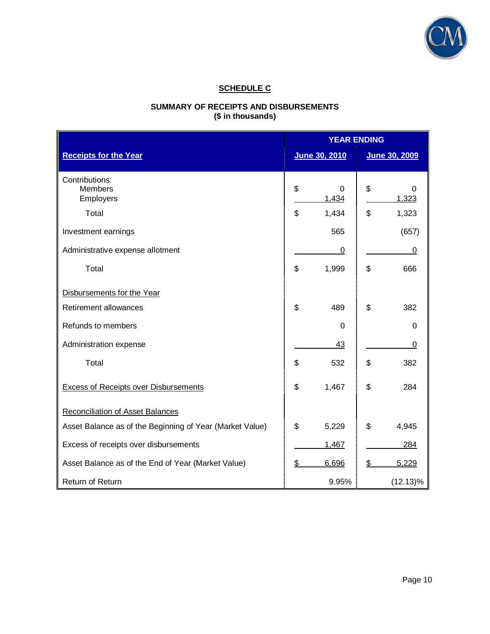

# **SCHEDULE C**

## **SUMMARY OF RECEIPTS AND DISBURSEMENTS (\$ in thousands)**

|                                                          |    | <b>YEAR ENDING</b> |    |               |  |
|----------------------------------------------------------|----|--------------------|----|---------------|--|
| <b>Receipts for the Year</b>                             |    | June 30, 2010      |    | June 30, 2009 |  |
| Contributions:<br><b>Members</b>                         | \$ | $\Omega$           | \$ | 0             |  |
| Employers                                                |    | 1,434              |    | 1,323         |  |
| Total                                                    | \$ | 1,434              | \$ | 1,323         |  |
| Investment earnings                                      |    | 565                |    | (657)         |  |
| Administrative expense allotment                         |    | 0                  |    | 0             |  |
| Total                                                    | \$ | 1,999              | \$ | 666           |  |
| Disbursements for the Year                               |    |                    |    |               |  |
| Retirement allowances                                    | \$ | 489                | \$ | 382           |  |
| Refunds to members                                       |    | $\overline{0}$     |    | 0             |  |
| Administration expense                                   |    | 43                 |    | $\Omega$      |  |
| Total                                                    | \$ | 532                | \$ | 382           |  |
| <b>Excess of Receipts over Disbursements</b>             | \$ | 1,467              | \$ | 284           |  |
| Reconciliation of Asset Balances                         |    |                    |    |               |  |
| Asset Balance as of the Beginning of Year (Market Value) | \$ | 5,229              | \$ | 4,945         |  |
| Excess of receipts over disbursements                    |    | 1,467              |    | 284           |  |
| Asset Balance as of the End of Year (Market Value)       | \$ | 6,696              |    | 5,229         |  |
| Return of Return                                         |    | 9.95%              |    | $(12.13)\%$   |  |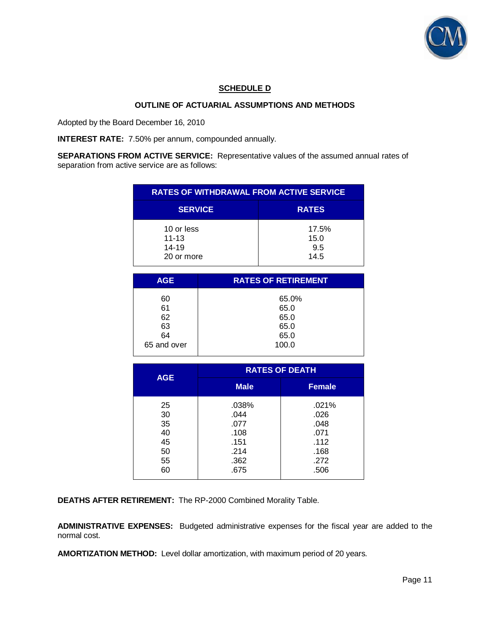

## **SCHEDULE D**

### **OUTLINE OF ACTUARIAL ASSUMPTIONS AND METHODS**

Adopted by the Board December 16, 2010

**INTEREST RATE:** 7.50% per annum, compounded annually.

**SEPARATIONS FROM ACTIVE SERVICE:** Representative values of the assumed annual rates of separation from active service are as follows:

| <b>RATES OF WITHDRAWAL FROM ACTIVE SERVICE</b>     |                              |  |
|----------------------------------------------------|------------------------------|--|
| <b>SERVICE</b>                                     | <b>RATES</b>                 |  |
| 10 or less<br>$11 - 13$<br>$14 - 19$<br>20 or more | 17.5%<br>15.0<br>9.5<br>14.5 |  |

| <b>AGE</b>  | <b>RATES OF RETIREMENT</b> |
|-------------|----------------------------|
| 60          | 65.0%                      |
|             |                            |
| 61          | 65.0                       |
| 62          | 65.0                       |
| 63          | 65.0                       |
| 64          | 65.0                       |
| 65 and over | 100.0                      |
|             |                            |

|            | <b>RATES OF DEATH</b> |               |  |
|------------|-----------------------|---------------|--|
| <b>AGE</b> | <b>Male</b>           | <b>Female</b> |  |
| 25         | .038%                 | .021%         |  |
| 30         | .044                  | .026          |  |
| 35         | .077                  | .048          |  |
| 40         | .108                  | .071          |  |
| 45         | .151                  | .112          |  |
| 50         | .214                  | .168          |  |
| 55         | .362                  | .272          |  |
| 60         | .675                  | .506          |  |

**DEATHS AFTER RETIREMENT:** The RP-2000 Combined Morality Table.

**ADMINISTRATIVE EXPENSES:** Budgeted administrative expenses for the fiscal year are added to the normal cost.

**AMORTIZATION METHOD:** Level dollar amortization, with maximum period of 20 years.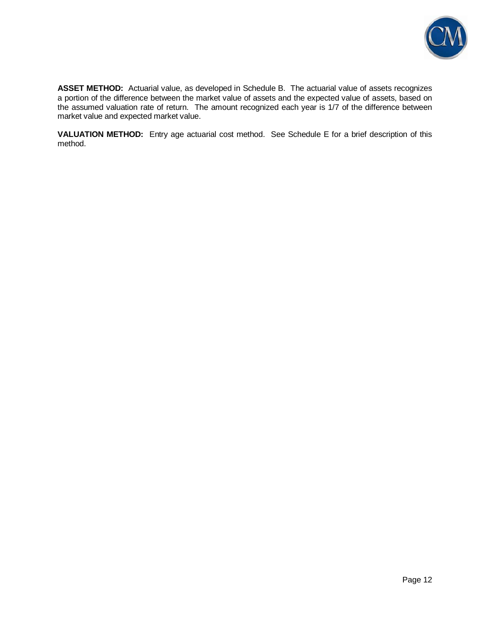

**ASSET METHOD:** Actuarial value, as developed in Schedule B. The actuarial value of assets recognizes a portion of the difference between the market value of assets and the expected value of assets, based on the assumed valuation rate of return. The amount recognized each year is 1/7 of the difference between market value and expected market value.

**VALUATION METHOD:** Entry age actuarial cost method. See Schedule E for a brief description of this method.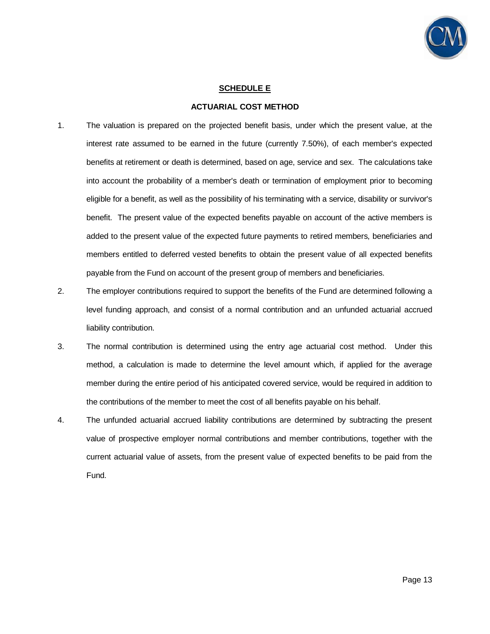

### **SCHEDULE E**

#### **ACTUARIAL COST METHOD**

- 1. The valuation is prepared on the projected benefit basis, under which the present value, at the interest rate assumed to be earned in the future (currently 7.50%), of each member's expected benefits at retirement or death is determined, based on age, service and sex. The calculations take into account the probability of a member's death or termination of employment prior to becoming eligible for a benefit, as well as the possibility of his terminating with a service, disability or survivor's benefit. The present value of the expected benefits payable on account of the active members is added to the present value of the expected future payments to retired members, beneficiaries and members entitled to deferred vested benefits to obtain the present value of all expected benefits payable from the Fund on account of the present group of members and beneficiaries.
- 2. The employer contributions required to support the benefits of the Fund are determined following a level funding approach, and consist of a normal contribution and an unfunded actuarial accrued liability contribution.
- 3. The normal contribution is determined using the entry age actuarial cost method. Under this method, a calculation is made to determine the level amount which, if applied for the average member during the entire period of his anticipated covered service, would be required in addition to the contributions of the member to meet the cost of all benefits payable on his behalf.
- 4. The unfunded actuarial accrued liability contributions are determined by subtracting the present value of prospective employer normal contributions and member contributions, together with the current actuarial value of assets, from the present value of expected benefits to be paid from the Fund.